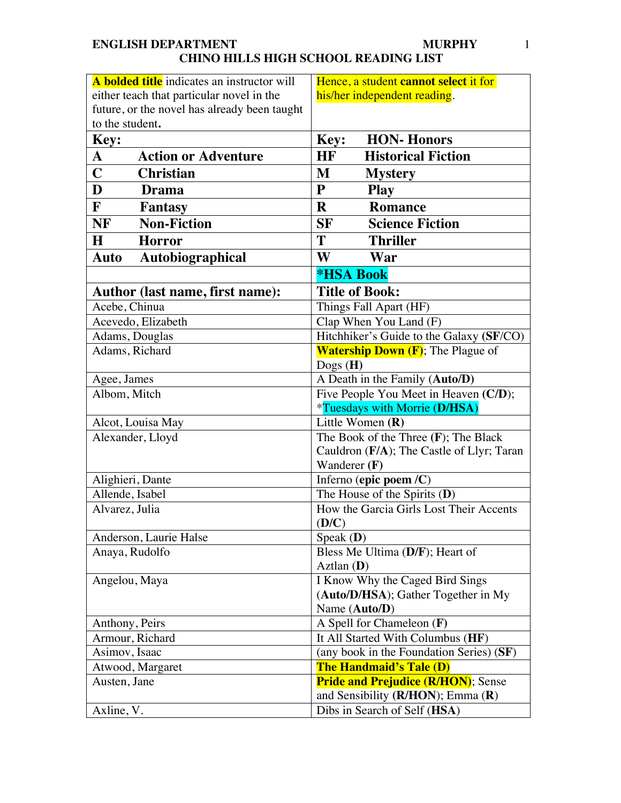#### **ENGLISH DEPARTMENT CHINO HILLS HIGH SCHOOL READING LIST MURPHY** 1

| A <b>bolded title</b> indicates an instructor will | Hence, a student cannot select it for                                           |
|----------------------------------------------------|---------------------------------------------------------------------------------|
| either teach that particular novel in the          | his/her independent reading.                                                    |
| future, or the novel has already been taught       |                                                                                 |
| to the student.                                    |                                                                                 |
| <b>Key:</b>                                        | <b>HON-Honors</b><br>Key:                                                       |
| $\mathbf{A}$<br><b>Action or Adventure</b>         | HF<br><b>Historical Fiction</b>                                                 |
| $\mathbf C$<br><b>Christian</b>                    | M<br><b>Mystery</b>                                                             |
| D<br><b>Drama</b>                                  | $\mathbf{P}$<br><b>Play</b>                                                     |
| $\mathbf{F}$<br><b>Fantasy</b>                     | R<br><b>Romance</b>                                                             |
| <b>NF</b><br><b>Non-Fiction</b>                    | <b>Science Fiction</b><br>SF                                                    |
| $\bf H$<br><b>Horror</b>                           | <b>Thriller</b><br>Т                                                            |
| Autobiographical<br>Auto                           | W<br>War                                                                        |
|                                                    | <b>*HSA Book</b>                                                                |
| Author (last name, first name):                    | <b>Title of Book:</b>                                                           |
| Acebe, Chinua                                      | Things Fall Apart (HF)                                                          |
| Acevedo, Elizabeth                                 | Clap When You Land (F)                                                          |
| Adams, Douglas                                     | Hitchhiker's Guide to the Galaxy (SF/CO)                                        |
| Adams, Richard                                     | <b>Watership Down (F)</b> ; The Plague of                                       |
|                                                    | $\text{Dogs}$ (H)                                                               |
| Agee, James                                        | A Death in the Family (Auto/D)                                                  |
| Albom, Mitch                                       | Five People You Meet in Heaven (C/D);                                           |
|                                                    | *Tuesdays with Morrie (D/HSA)                                                   |
| Alcot, Louisa May                                  | Little Women $(R)$                                                              |
| Alexander, Lloyd                                   | The Book of the Three (F); The Black                                            |
|                                                    | Cauldron (F/A); The Castle of Llyr; Taran<br>Wanderer $(F)$                     |
| Alighieri, Dante                                   | Inferno (epic poem /C)                                                          |
| Allende, Isabel                                    | The House of the Spirits $(D)$                                                  |
| Alvarez, Julia                                     | How the Garcia Girls Lost Their Accents                                         |
|                                                    | (D/C)                                                                           |
| Anderson, Laurie Halse                             | Speak $(D)$                                                                     |
| Anaya, Rudolfo                                     | Bless Me Ultima (D/F); Heart of                                                 |
|                                                    | $Aztlan$ (D)                                                                    |
| Angelou, Maya                                      | I Know Why the Caged Bird Sings                                                 |
|                                                    | (Auto/D/HSA); Gather Together in My                                             |
|                                                    | Name (Auto/D)                                                                   |
| Anthony, Peirs                                     | A Spell for Chameleon (F)                                                       |
| Armour, Richard                                    | It All Started With Columbus (HF)                                               |
| Asimov, Isaac                                      | (any book in the Foundation Series) (SF)                                        |
| Atwood, Margaret                                   | The Handmaid's Tale (D)                                                         |
| Austen, Jane                                       | <b>Pride and Prejudice (R/HON)</b> ; Sense<br>and Sensibility (R/HON); Emma (R) |
| Axline, V.                                         | Dibs in Search of Self (HSA)                                                    |
|                                                    |                                                                                 |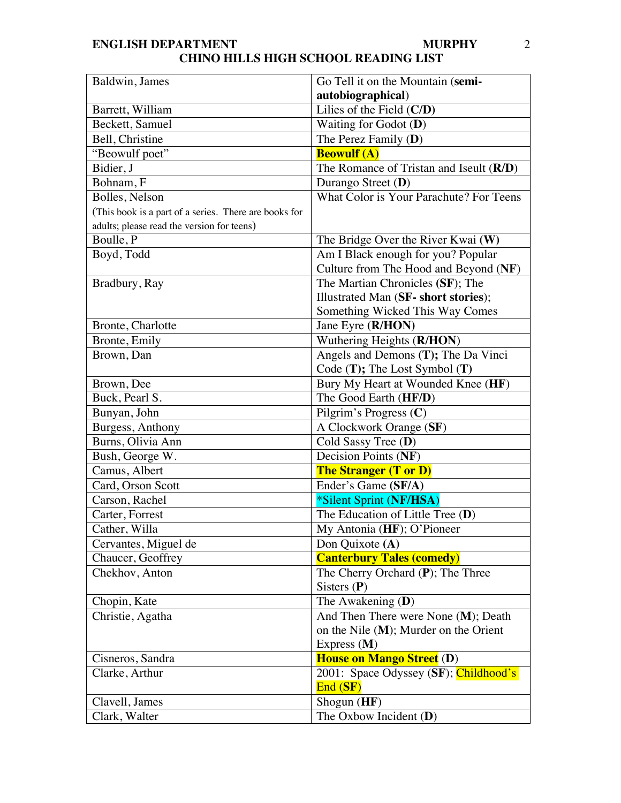| Baldwin, James                                        | Go Tell it on the Mountain (semi-        |
|-------------------------------------------------------|------------------------------------------|
|                                                       | autobiographical)                        |
| Barrett, William                                      | Lilies of the Field $(C/D)$              |
| Beckett, Samuel                                       | Waiting for Godot $(D)$                  |
| Bell, Christine                                       | The Perez Family $(D)$                   |
| "Beowulf poet"                                        | <b>Beowulf (A)</b>                       |
| Bidier, J                                             | The Romance of Tristan and Iseult (R/D)  |
| Bohnam, F                                             | Durango Street (D)                       |
| Bolles, Nelson                                        | What Color is Your Parachute? For Teens  |
| (This book is a part of a series. There are books for |                                          |
| adults; please read the version for teens)            |                                          |
| Boulle, P                                             | The Bridge Over the River Kwai $(W)$     |
| Boyd, Todd                                            | Am I Black enough for you? Popular       |
|                                                       | Culture from The Hood and Beyond (NF)    |
| Bradbury, Ray                                         | The Martian Chronicles (SF); The         |
|                                                       | Illustrated Man (SF- short stories);     |
|                                                       | Something Wicked This Way Comes          |
| Bronte, Charlotte                                     | Jane Eyre (R/HON)                        |
| Bronte, Emily                                         | Wuthering Heights (R/HON)                |
| Brown, Dan                                            | Angels and Demons (T); The Da Vinci      |
|                                                       | Code $(T)$ ; The Lost Symbol $(T)$       |
| Brown, Dee                                            | Bury My Heart at Wounded Knee (HF)       |
| Buck, Pearl S.                                        | The Good Earth (HF/D)                    |
| Bunyan, John                                          | Pilgrim's Progress (C)                   |
| Burgess, Anthony                                      | A Clockwork Orange (SF)                  |
| Burns, Olivia Ann                                     | Cold Sassy Tree (D)                      |
| Bush, George W.                                       | Decision Points (NF)                     |
| Camus, Albert                                         | <b>The Stranger (T or D)</b>             |
| Card, Orson Scott                                     | Ender's Game (SF/A)                      |
| Carson, Rachel                                        | *Silent Sprint (NF/HSA)                  |
| Carter, Forrest                                       | The Education of Little Tree (D)         |
| Cather, Willa                                         | My Antonia (HF); O'Pioneer               |
| Cervantes, Miguel de                                  | Don Quixote (A)                          |
| Chaucer, Geoffrey                                     | <b>Canterbury Tales (comedy)</b>         |
| Chekhov, Anton                                        | The Cherry Orchard $(P)$ ; The Three     |
|                                                       | Sisters $(P)$                            |
| Chopin, Kate                                          | The Awakening $(D)$                      |
| Christie, Agatha                                      | And Then There were None $(M)$ ; Death   |
|                                                       | on the Nile $(M)$ ; Murder on the Orient |
|                                                       | Express $(M)$                            |
| Cisneros, Sandra                                      | <b>House on Mango Street (D)</b>         |
| Clarke, Arthur                                        | 2001: Space Odyssey (SF); Childhood's    |
|                                                       | End(SF)                                  |
| Clavell, James                                        | Shogun $(HF)$                            |
| Clark, Walter                                         | The Oxbow Incident $(D)$                 |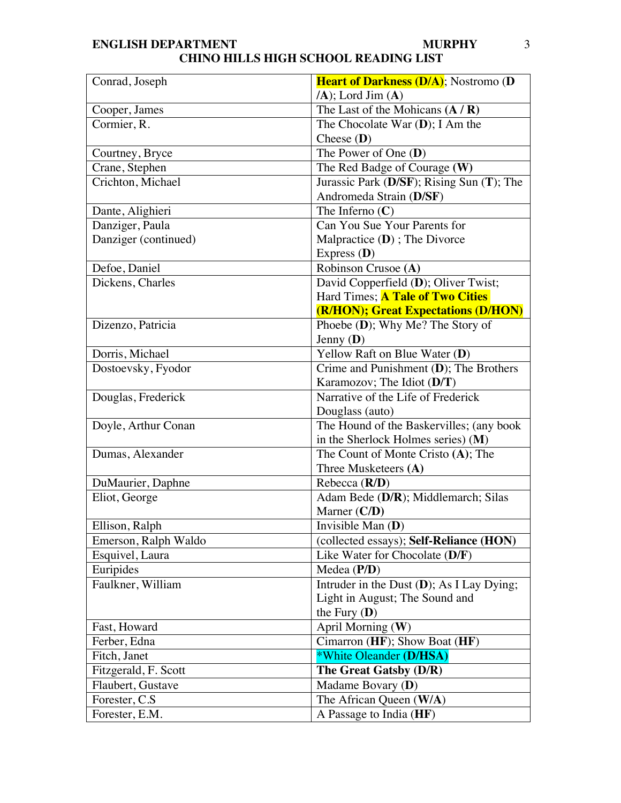| Conrad, Joseph       | <b>Heart of Darkness (D/A)</b> ; Nostromo (D) |
|----------------------|-----------------------------------------------|
|                      | $(A)$ ; Lord Jim $(A)$                        |
| Cooper, James        | The Last of the Mohicans $(A/R)$              |
| Cormier, R.          | The Chocolate War $(D)$ ; I Am the            |
|                      | Cheese $(D)$                                  |
| Courtney, Bryce      | The Power of One $(D)$                        |
| Crane, Stephen       | The Red Badge of Courage (W)                  |
| Crichton, Michael    | Jurassic Park (D/SF); Rising Sun (T); The     |
|                      | Andromeda Strain (D/SF)                       |
| Dante, Alighieri     | The Inferno $(C)$                             |
| Danziger, Paula      | Can You Sue Your Parents for                  |
| Danziger (continued) | Malpractice (D); The Divorce                  |
|                      | Express $(D)$                                 |
| Defoe, Daniel        | Robinson Crusoe (A)                           |
| Dickens, Charles     | David Copperfield (D); Oliver Twist;          |
|                      | Hard Times; <b>A Tale of Two Cities</b>       |
|                      | (R/HON); Great Expectations (D/HON)           |
| Dizenzo, Patricia    | Phoebe $(D)$ ; Why Me? The Story of           |
|                      | Jenny $(D)$                                   |
| Dorris, Michael      | Yellow Raft on Blue Water (D)                 |
| Dostoevsky, Fyodor   | Crime and Punishment (D); The Brothers        |
|                      | Karamozov; The Idiot (D/T)                    |
| Douglas, Frederick   | Narrative of the Life of Frederick            |
|                      | Douglass (auto)                               |
| Doyle, Arthur Conan  | The Hound of the Baskervilles; (any book      |
|                      | in the Sherlock Holmes series) (M)            |
| Dumas, Alexander     | The Count of Monte Cristo (A); The            |
|                      | Three Musketeers (A)                          |
| DuMaurier, Daphne    | Rebecca $(R/D)$                               |
| Eliot, George        | Adam Bede (D/R); Middlemarch; Silas           |
|                      | Marner (C/D)                                  |
| Ellison, Ralph       | Invisible Man $(D)$                           |
| Emerson, Ralph Waldo | (collected essays); Self-Reliance (HON)       |
| Esquivel, Laura      | Like Water for Chocolate $(D/F)$              |
| Euripides            | Medea $(P/D)$                                 |
| Faulkner, William    | Intruder in the Dust (D); As I Lay Dying;     |
|                      | Light in August; The Sound and                |
|                      | the Fury $(D)$                                |
| Fast, Howard         | April Morning (W)                             |
| Ferber, Edna         | Cimarron (HF); Show Boat (HF)                 |
| Fitch, Janet         | *White Oleander (D/HSA)                       |
| Fitzgerald, F. Scott | The Great Gatsby (D/R)                        |
| Flaubert, Gustave    | Madame Bovary (D)                             |
| Forester, C.S.       | The African Queen (W/A)                       |
| Forester, E.M.       | A Passage to India (HF)                       |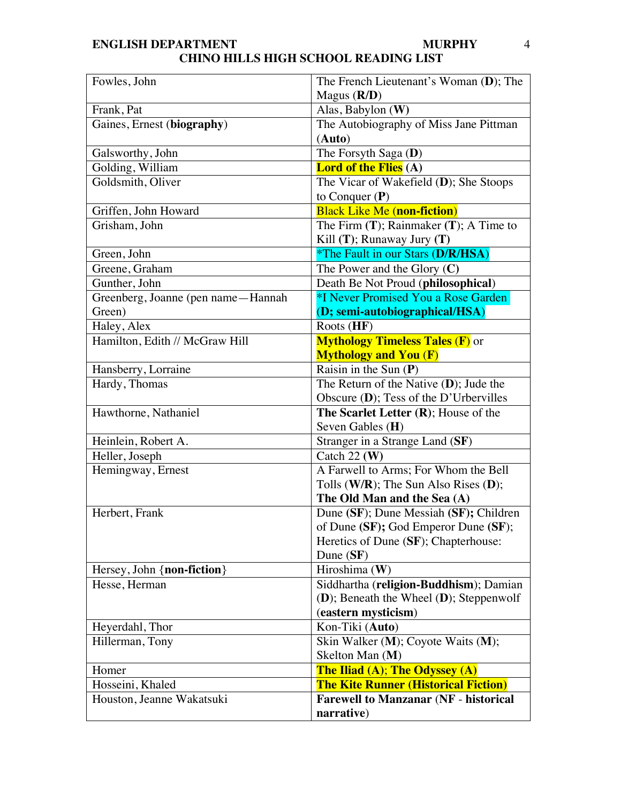| Fowles, John                       | The French Lieutenant's Woman (D); The<br>Magus $(R/D)$ |
|------------------------------------|---------------------------------------------------------|
| Frank, Pat                         | Alas, Babylon (W)                                       |
| Gaines, Ernest (biography)         | The Autobiography of Miss Jane Pittman                  |
|                                    | (Auto)                                                  |
| Galsworthy, John                   | The Forsyth Saga (D)                                    |
| Golding, William                   | <b>Lord of the Flies</b> (A)                            |
| Goldsmith, Oliver                  | The Vicar of Wakefield (D); She Stoops                  |
|                                    | to Conquer $(P)$                                        |
| Griffen, John Howard               | <b>Black Like Me (non-fiction)</b>                      |
| Grisham, John                      | The Firm $(T)$ ; Rainmaker $(T)$ ; A Time to            |
|                                    | Kill $(T)$ ; Runaway Jury $(T)$                         |
| Green, John                        | <i><b>*The Fault in our Stars (D/R/HSA)</b></i>         |
| Greene, Graham                     | The Power and the Glory $(C)$                           |
| Gunther, John                      | Death Be Not Proud (philosophical)                      |
| Greenberg, Joanne (pen name—Hannah | *I Never Promised You a Rose Garden                     |
| Green)                             | (D; semi-autobiographical/HSA)                          |
| Haley, Alex                        | Roots $(HF)$                                            |
| Hamilton, Edith // McGraw Hill     | <b>Mythology Timeless Tales (F)</b> or                  |
|                                    | <b>Mythology and You (F)</b>                            |
| Hansberry, Lorraine                | Raisin in the Sun $(P)$                                 |
| Hardy, Thomas                      | The Return of the Native $(D)$ ; Jude the               |
|                                    | Obscure (D); Tess of the D'Urbervilles                  |
| Hawthorne, Nathaniel               | The Scarlet Letter $(R)$ ; House of the                 |
|                                    | Seven Gables (H)                                        |
| Heinlein, Robert A.                | Stranger in a Strange Land (SF)                         |
| Heller, Joseph                     | Catch 22 $(W)$                                          |
| Hemingway, Ernest                  | A Farwell to Arms; For Whom the Bell                    |
|                                    | Tolls ( $W/R$ ); The Sun Also Rises (D);                |
|                                    | The Old Man and the Sea (A)                             |
| Herbert, Frank                     | Dune (SF); Dune Messiah (SF); Children                  |
|                                    | of Dune (SF); God Emperor Dune (SF);                    |
|                                    | Heretics of Dune (SF); Chapterhouse:                    |
|                                    | Dune $(SF)$                                             |
| Hersey, John {non-fiction}         | Hiroshima $(W)$                                         |
| Hesse, Herman                      | Siddhartha (religion-Buddhism); Damian                  |
|                                    | (D); Beneath the Wheel (D); Steppenwolf                 |
|                                    | (eastern mysticism)                                     |
| Heyerdahl, Thor                    | Kon-Tiki (Auto)                                         |
| Hillerman, Tony                    | Skin Walker (M); Coyote Waits (M);                      |
|                                    | Skelton Man (M)                                         |
| Homer                              | The Iliad (A); The Odyssey (A)                          |
| Hosseini, Khaled                   | <b>The Kite Runner (Historical Fiction)</b>             |
| Houston, Jeanne Wakatsuki          | <b>Farewell to Manzanar (NF - historical</b>            |
|                                    | narrative)                                              |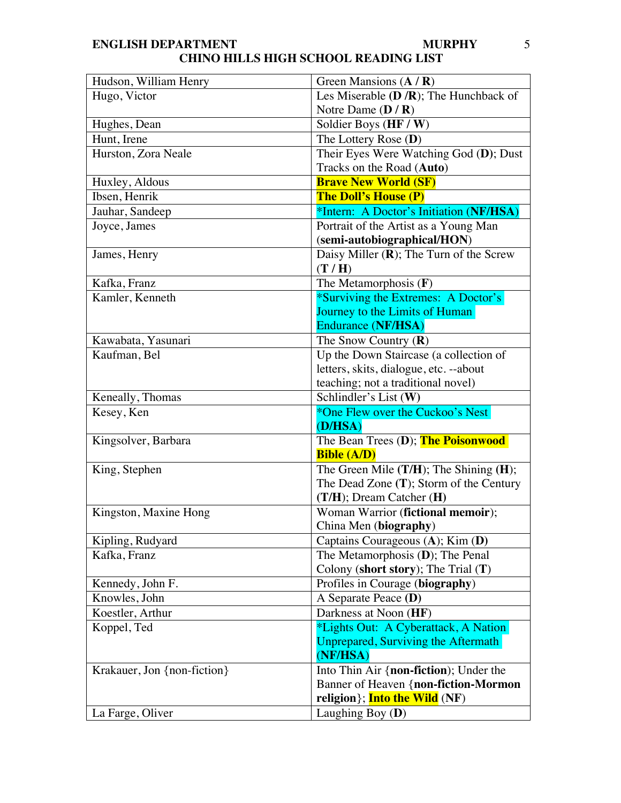| Hudson, William Henry       | Green Mansions $(A/R)$                       |
|-----------------------------|----------------------------------------------|
| Hugo, Victor                | Les Miserable $(D/R)$ ; The Hunchback of     |
|                             | Notre Dame $(D/R)$                           |
| Hughes, Dean                | Soldier Boys (HF / W)                        |
| Hunt, Irene                 | The Lottery Rose (D)                         |
| Hurston, Zora Neale         | Their Eyes Were Watching God (D); Dust       |
|                             | Tracks on the Road (Auto)                    |
| Huxley, Aldous              | <b>Brave New World (SF)</b>                  |
| Ibsen, Henrik               | <b>The Doll's House (P)</b>                  |
| Jauhar, Sandeep             | *Intern: A Doctor's Initiation (NF/HSA)      |
| Joyce, James                | Portrait of the Artist as a Young Man        |
|                             | (semi-autobiographical/HON)                  |
| James, Henry                | Daisy Miller $(R)$ ; The Turn of the Screw   |
|                             | (T/H)                                        |
| Kafka, Franz                | The Metamorphosis $(F)$                      |
| Kamler, Kenneth             | *Surviving the Extremes: A Doctor's          |
|                             | Journey to the Limits of Human               |
|                             | <b>Endurance (NF/HSA)</b>                    |
| Kawabata, Yasunari          | The Snow Country $(R)$                       |
| Kaufman, Bel                | Up the Down Staircase (a collection of       |
|                             | letters, skits, dialogue, etc. --about       |
|                             | teaching; not a traditional novel)           |
| Keneally, Thomas            | Schlindler's List (W)                        |
| Kesey, Ken                  | *One Flew over the Cuckoo's Nest             |
|                             | (D/HSA)                                      |
| Kingsolver, Barbara         | The Bean Trees (D); The Poisonwood           |
|                             | <b>Bible (A/D)</b>                           |
| King, Stephen               | The Green Mile $(T/H)$ ; The Shining $(H)$ ; |
|                             | The Dead Zone $(T)$ ; Storm of the Century   |
|                             | (T/H); Dream Catcher (H)                     |
| Kingston, Maxine Hong       | Woman Warrior (fictional memoir);            |
|                             | China Men (biography)                        |
| Kipling, Rudyard            | Captains Courageous (A); Kim (D)             |
| Kafka, Franz                | The Metamorphosis (D); The Penal             |
|                             | Colony (short story); The Trial $(T)$        |
| Kennedy, John F.            | Profiles in Courage (biography)              |
| Knowles, John               | A Separate Peace (D)                         |
| Koestler, Arthur            | Darkness at Noon (HF)                        |
| Koppel, Ted                 | *Lights Out: A Cyberattack, A Nation         |
|                             | Unprepared, Surviving the Aftermath          |
|                             | (NF/HSA)                                     |
| Krakauer, Jon {non-fiction} | Into Thin Air {non-fiction); Under the       |
|                             | Banner of Heaven {non-fiction-Mormon         |
|                             | religion}; Into the Wild (NF)                |
| La Farge, Oliver            | Laughing Boy $(D)$                           |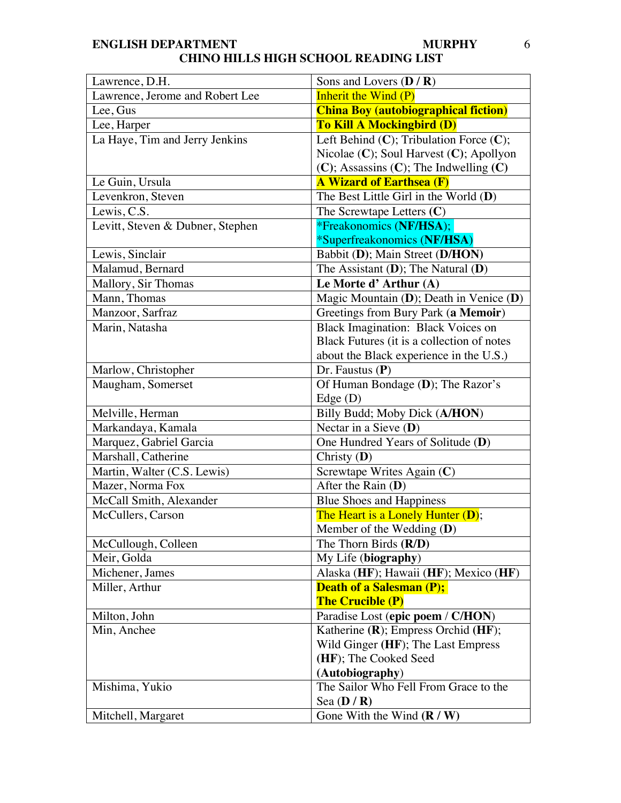| Lawrence, D.H.                   | Sons and Lovers $(D/R)$                        |
|----------------------------------|------------------------------------------------|
| Lawrence, Jerome and Robert Lee  | <b>Inherit the Wind (P)</b>                    |
| Lee, Gus                         | <b>China Boy (autobiographical fiction)</b>    |
| Lee, Harper                      | <b>To Kill A Mockingbird (D)</b>               |
| La Haye, Tim and Jerry Jenkins   | Left Behind $(C)$ ; Tribulation Force $(C)$ ;  |
|                                  | Nicolae $(C)$ ; Soul Harvest $(C)$ ; Apollyon  |
|                                  | $(C)$ ; Assassins $(C)$ ; The Indwelling $(C)$ |
| Le Guin, Ursula                  | <b>A Wizard of Earthsea (F)</b>                |
| Levenkron, Steven                | The Best Little Girl in the World $(D)$        |
| Lewis, C.S.                      | The Screwtape Letters $(C)$                    |
| Levitt, Steven & Dubner, Stephen | <i>*Freakonomics (NF/HSA);</i>                 |
|                                  | *Superfreakonomics (NF/HSA)                    |
| Lewis, Sinclair                  | Babbit (D); Main Street (D/HON)                |
| Malamud, Bernard                 | The Assistant $(D)$ ; The Natural $(D)$        |
| Mallory, Sir Thomas              | Le Morte d'Arthur (A)                          |
| Mann, Thomas                     | Magic Mountain $(D)$ ; Death in Venice $(D)$   |
| Manzoor, Sarfraz                 | Greetings from Bury Park (a Memoir)            |
| Marin, Natasha                   | Black Imagination: Black Voices on             |
|                                  | Black Futures (it is a collection of notes     |
|                                  | about the Black experience in the U.S.)        |
| Marlow, Christopher              | Dr. Faustus $(P)$                              |
| Maugham, Somerset                | Of Human Bondage (D); The Razor's              |
|                                  | Edge $(D)$                                     |
| Melville, Herman                 | Billy Budd; Moby Dick (A/HON)                  |
| Markandaya, Kamala               | Nectar in a Sieve $(D)$                        |
| Marquez, Gabriel Garcia          | One Hundred Years of Solitude (D)              |
| Marshall, Catherine              | Christy $(D)$                                  |
| Martin, Walter (C.S. Lewis)      | Screwtape Writes Again (C)                     |
| Mazer, Norma Fox                 | After the Rain $(D)$                           |
| McCall Smith, Alexander          | <b>Blue Shoes and Happiness</b>                |
| McCullers, Carson                | The Heart is a Lonely Hunter (D);              |
|                                  | Member of the Wedding $(D)$                    |
| McCullough, Colleen              | The Thorn Birds $(R/D)$                        |
| Meir, Golda                      | My Life (biography)                            |
| Michener, James                  | Alaska (HF); Hawaii (HF); Mexico (HF)          |
| Miller, Arthur                   | <b>Death of a Salesman (P);</b>                |
|                                  | <b>The Crucible (P)</b>                        |
| Milton, John                     | Paradise Lost (epic poem / C/HON)              |
| Min, Anchee                      | Katherine (R); Empress Orchid (HF);            |
|                                  | Wild Ginger (HF); The Last Empress             |
|                                  | (HF); The Cooked Seed                          |
|                                  | (Autobiography)                                |
| Mishima, Yukio                   | The Sailor Who Fell From Grace to the          |
|                                  | Sea $(D/R)$                                    |
| Mitchell, Margaret               | Gone With the Wind $(R / W)$                   |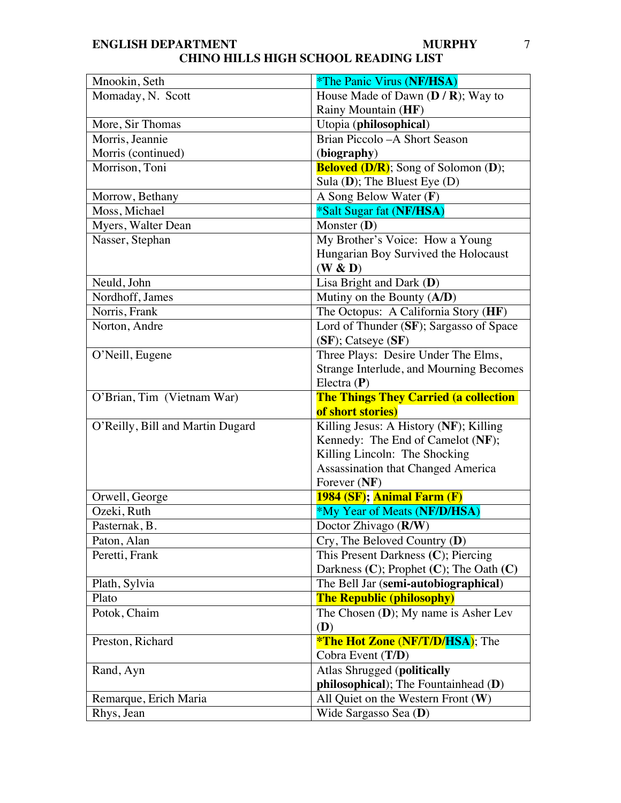#### **ENGLISH DEPARTMENT CHINO HILLS HIGH SCHOOL READING LIST MURPHY** 7

| Mnookin, Seth                    | <i>*The Panic Virus (NF/HSA)</i>                              |
|----------------------------------|---------------------------------------------------------------|
| Momaday, N. Scott                | House Made of Dawn $(D/R)$ ; Way to                           |
|                                  | Rainy Mountain (HF)                                           |
| More, Sir Thomas                 | Utopia (philosophical)                                        |
| Morris, Jeannie                  | Brian Piccolo - A Short Season                                |
| Morris (continued)               | (biography)                                                   |
| Morrison, Toni                   | <b>Beloved (D/R)</b> ; Song of Solomon (D);                   |
|                                  | Sula $(D)$ ; The Bluest Eye $(D)$                             |
| Morrow, Bethany                  | A Song Below Water $(F)$                                      |
| Moss, Michael                    | *Salt Sugar fat (NF/HSA)                                      |
| Myers, Walter Dean               | Monster $(D)$                                                 |
| Nasser, Stephan                  | My Brother's Voice: How a Young                               |
|                                  | Hungarian Boy Survived the Holocaust                          |
|                                  | (W & D)                                                       |
| Neuld, John                      | Lisa Bright and Dark (D)                                      |
| Nordhoff, James                  | Mutiny on the Bounty $(A/D)$                                  |
| Norris, Frank                    | The Octopus: A California Story (HF)                          |
| Norton, Andre                    | Lord of Thunder (SF); Sargasso of Space                       |
|                                  | $(SF)$ ; Catseye $(SF)$                                       |
| O'Neill, Eugene                  | Three Plays: Desire Under The Elms,                           |
|                                  | Strange Interlude, and Mourning Becomes                       |
|                                  | Electra $(P)$                                                 |
|                                  |                                                               |
| O'Brian, Tim (Vietnam War)       | <b>The Things They Carried (a collection</b>                  |
|                                  | of short stories)                                             |
| O'Reilly, Bill and Martin Dugard | Killing Jesus: A History (NF); Killing                        |
|                                  | Kennedy: The End of Camelot (NF);                             |
|                                  | Killing Lincoln: The Shocking                                 |
|                                  | Assassination that Changed America                            |
|                                  | Forever (NF)                                                  |
| Orwell, George                   | 1984 (SF); Animal Farm (F)                                    |
| Ozeki, Ruth                      | *My Year of Meats (NF/D/HSA)                                  |
| Pasternak, B.                    | Doctor Zhivago (R/W)                                          |
| Paton, Alan                      | $Cry$ , The Beloved Country (D)                               |
| Peretti, Frank                   | This Present Darkness (C); Piercing                           |
|                                  | Darkness $(C)$ ; Prophet $(C)$ ; The Oath $(C)$               |
| Plath, Sylvia                    | The Bell Jar (semi-autobiographical)                          |
| Plato                            | <b>The Republic (philosophy)</b>                              |
| Potok, Chaim                     | The Chosen (D); My name is Asher Lev                          |
|                                  | (D)                                                           |
| Preston, Richard                 | <b>*The Hot Zone (NF/T/D/HSA)</b> ; The                       |
|                                  | Cobra Event (T/D)                                             |
| Rand, Ayn                        | <b>Atlas Shrugged (politically</b>                            |
|                                  | philosophical); The Fountainhead (D)                          |
| Remarque, Erich Maria            | All Quiet on the Western Front $(W)$<br>Wide Sargasso Sea (D) |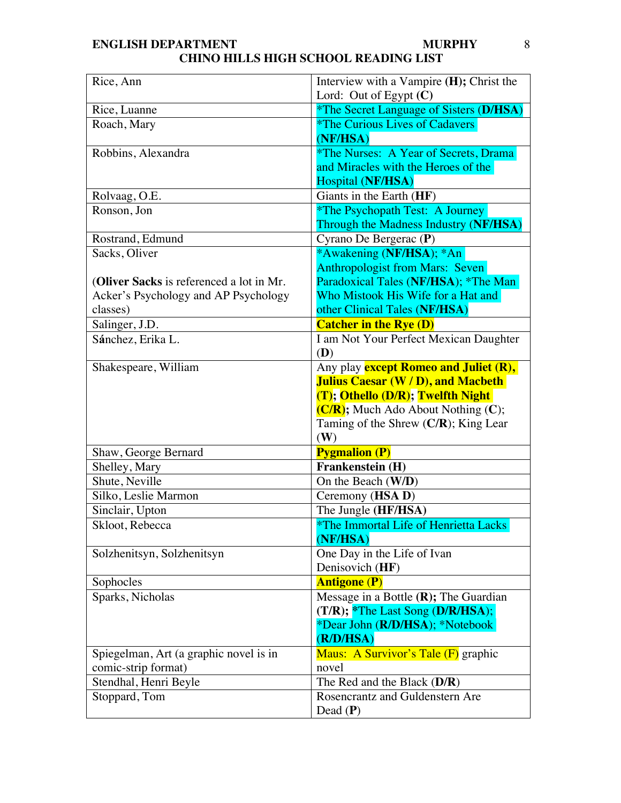| Rice, Ann                                | Interview with a Vampire (H); Christ the<br>Lord: Out of Egypt $(C)$ |
|------------------------------------------|----------------------------------------------------------------------|
| Rice, Luanne                             | <i>*The Secret Language of Sisters (D/HSA)</i>                       |
| Roach, Mary                              | <i><b>*The Curious Lives of Cadavers</b></i>                         |
|                                          | (NF/HSA)                                                             |
| Robbins, Alexandra                       | <i>*The Nurses: A Year of Secrets, Drama</i>                         |
|                                          | and Miracles with the Heroes of the                                  |
|                                          | Hospital (NF/HSA)                                                    |
| Rolvaag, O.E.                            | Giants in the Earth (HF)                                             |
| Ronson, Jon                              | *The Psychopath Test: A Journey                                      |
|                                          | Through the Madness Industry (NF/HSA)                                |
| Rostrand, Edmund                         | Cyrano De Bergerac (P)                                               |
| Sacks, Oliver                            | *Awakening (NF/HSA); *An                                             |
|                                          | <b>Anthropologist from Mars: Seven</b>                               |
| (Oliver Sacks is referenced a lot in Mr. | Paradoxical Tales (NF/HSA); *The Man                                 |
| Acker's Psychology and AP Psychology     | Who Mistook His Wife for a Hat and                                   |
| classes)                                 | other Clinical Tales (NF/HSA)                                        |
| Salinger, J.D.                           | <b>Catcher in the Rye (D)</b>                                        |
| Sánchez, Erika L.                        | I am Not Your Perfect Mexican Daughter                               |
|                                          | (D)                                                                  |
| Shakespeare, William                     | Any play <b>except Romeo and Juliet (R),</b>                         |
|                                          | <b>Julius Caesar (W/D), and Macbeth</b>                              |
|                                          | (T); Othello (D/R); Twelfth Night                                    |
|                                          | $(C/R)$ ; Much Ado About Nothing $(C)$ ;                             |
|                                          | Taming of the Shrew $(C/R)$ ; King Lear                              |
|                                          | (W)                                                                  |
| Shaw, George Bernard<br>Shelley, Mary    | <b>Pygmalion (P)</b><br>Frankenstein (H)                             |
| Shute, Neville                           | On the Beach (W/D)                                                   |
| Silko, Leslie Marmon                     | Ceremony (HSA D)                                                     |
| Sinclair, Upton                          | The Jungle (HF/HSA)                                                  |
| Skloot, Rebecca                          | *The Immortal Life of Henrietta Lacks                                |
|                                          | (NF/HSA)                                                             |
| Solzhenitsyn, Solzhenitsyn               | One Day in the Life of Ivan                                          |
|                                          | Denisovich (HF)                                                      |
| Sophocles                                | <b>Antigone (P)</b>                                                  |
| Sparks, Nicholas                         | Message in a Bottle $(R)$ ; The Guardian                             |
|                                          | $(T/R);$ *The Last Song $(D/R/HSA);$                                 |
|                                          | *Dear John (R/D/HSA); *Notebook                                      |
|                                          | (R/D/HSA)                                                            |
| Spiegelman, Art (a graphic novel is in   | Maus: A Survivor's Tale (F) graphic                                  |
| comic-strip format)                      | novel                                                                |
| Stendhal, Henri Beyle                    | The Red and the Black $(D/R)$                                        |
| Stoppard, Tom                            | Rosencrantz and Guldenstern Are                                      |
|                                          | Dead $(P)$                                                           |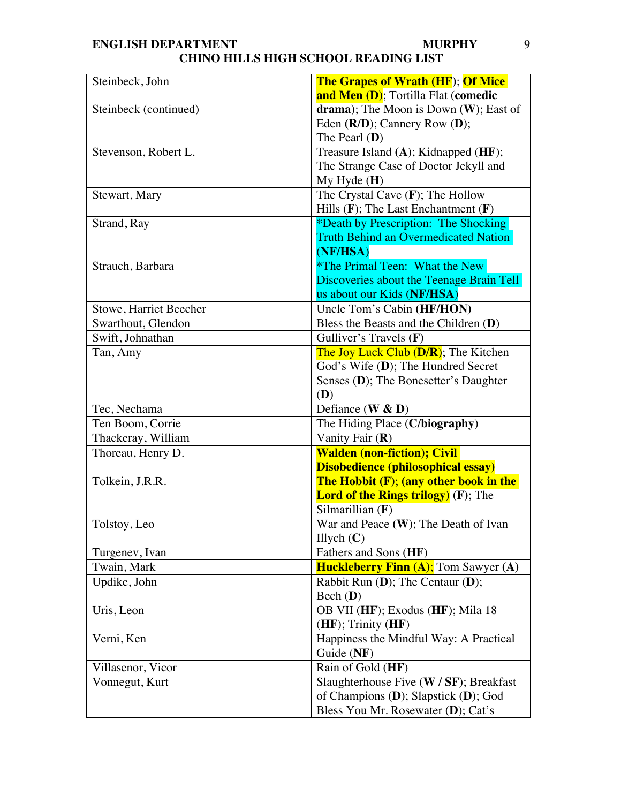| Steinbeck, John        | <b>The Grapes of Wrath (HF); Of Mice</b>      |
|------------------------|-----------------------------------------------|
|                        | and Men (D); Tortilla Flat (comedic           |
| Steinbeck (continued)  | drama); The Moon is Down $(W)$ ; East of      |
|                        | Eden $(R/D)$ ; Cannery Row $(D)$ ;            |
|                        | The Pearl $(D)$                               |
| Stevenson, Robert L.   | Treasure Island (A); Kidnapped (HF);          |
|                        | The Strange Case of Doctor Jekyll and         |
|                        | $My$ Hyde $(H)$                               |
| Stewart, Mary          | The Crystal Cave $(F)$ ; The Hollow           |
|                        | Hills $(F)$ ; The Last Enchantment $(F)$      |
| Strand, Ray            | *Death by Prescription: The Shocking          |
|                        | <b>Truth Behind an Overmedicated Nation</b>   |
|                        | (NF/HSA)                                      |
| Strauch, Barbara       | *The Primal Teen: What the New                |
|                        | Discoveries about the Teenage Brain Tell      |
|                        | us about our Kids (NF/HSA)                    |
| Stowe, Harriet Beecher | Uncle Tom's Cabin (HF/HON)                    |
| Swarthout, Glendon     | Bless the Beasts and the Children $(D)$       |
| Swift, Johnathan       | Gulliver's Travels (F)                        |
| Tan, Amy               | The Joy Luck Club (D/R): The Kitchen          |
|                        | God's Wife (D); The Hundred Secret            |
|                        | Senses (D); The Bonesetter's Daughter         |
|                        | (D)                                           |
| Tec, Nechama           | Defiance $(W & D)$                            |
| Ten Boom, Corrie       | The Hiding Place (C/biography)                |
| Thackeray, William     | Vanity Fair (R)                               |
| Thoreau, Henry D.      | <b>Walden (non-fiction); Civil</b>            |
|                        | <b>Disobedience (philosophical essay)</b>     |
| Tolkein, J.R.R.        | <b>The Hobbit (F); (any other book in the</b> |
|                        | <b>Lord of the Rings trilogy)</b> (F); The    |
|                        | Silmarillian $(F)$                            |
| Tolstoy, Leo           | War and Peace (W); The Death of Ivan          |
|                        | Illych $(C)$                                  |
| Turgenev, Ivan         | Fathers and Sons (HF)                         |
| Twain, Mark            | <b>Huckleberry Finn (A);</b> Tom Sawyer (A)   |
| Updike, John           | Rabbit Run $(D)$ ; The Centaur $(D)$ ;        |
|                        | Bech (D)                                      |
| Uris, Leon             | OB VII (HF); Exodus (HF); Mila 18             |
|                        | (HF); Trinity (HF)                            |
| Verni, Ken             | Happiness the Mindful Way: A Practical        |
|                        | Guide (NF)                                    |
| Villasenor, Vicor      | Rain of Gold (HF)                             |
| Vonnegut, Kurt         | Slaughterhouse Five $(W / SF)$ ; Breakfast    |
|                        | of Champions (D); Slapstick (D); God          |
|                        | Bless You Mr. Rosewater (D); Cat's            |